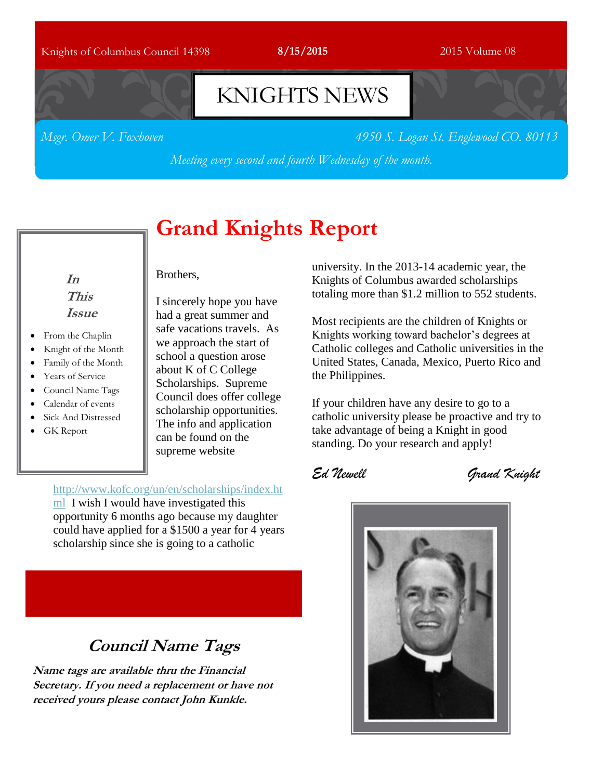### Knights of Columbus Council 14398 **8/15/2015** 2015 Volume 08

## KNIGHTS NEWS

*Msgr. Omer V. Foxhoven 4950 S. Logan St. Englewood CO. 80113*

*Meeting every second and fourth Wednesday of the month.*

## **Grand Knights Report**

### **In This Issue**

- From the Chaplin
- Knight of the Month
- Family of the Month
- Years of Service
- Council Name Tags
- Calendar of events
- Sick And Distressed
- GK Report

### Brothers,

I sincerely hope you have had a great summer and safe vacations travels. As we approach the start of school a question arose about K of C College Scholarships. Supreme Council does offer college scholarship opportunities. The info and application can be found on the supreme website

### [http://www.kofc.org/un/en/scholarships/index.ht](http://www.kofc.org/un/en/scholarships/index.html)

[ml](http://www.kofc.org/un/en/scholarships/index.html) I wish I would have investigated this opportunity 6 months ago because my daughter could have applied for a \$1500 a year for 4 years scholarship since she is going to a catholic

**Council Name Tags**

**Name tags are available thru the Financial Secretary. If you need a replacement or have not received yours please contact John Kunkle.**

university. In the 2013-14 academic year, the Knights of Columbus awarded scholarships totaling more than \$1.2 million to 552 students.

Most recipients are the children of Knights or Knights working toward bachelor's degrees at Catholic colleges and Catholic universities in the United States, Canada, Mexico, Puerto Rico and the Philippines.

If your children have any desire to go to a catholic university please be proactive and try to take advantage of being a Knight in good standing. Do your research and apply!

*Ed Newell Grand Knight*

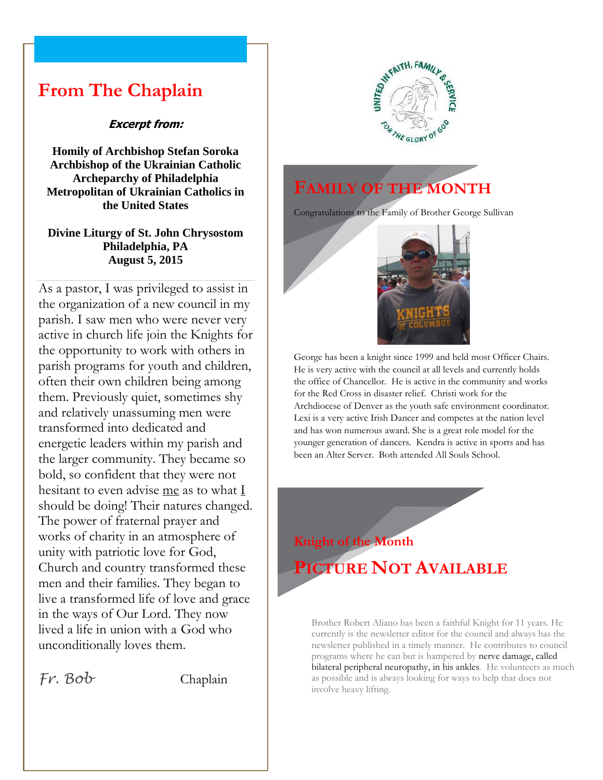### **From The Chaplain**

### **Excerpt from:**

**Homily of Archbishop Stefan Soroka Archbishop of the Ukrainian Catholic Archeparchy of Philadelphia Metropolitan of Ukrainian Catholics in the United States**

### **Divine Liturgy of St. John Chrysostom Philadelphia, PA August 5, 2015**

As a pastor, I was privileged to assist in the organization of a new council in my parish. I saw men who were never very active in church life join the Knights for the opportunity to work with others in parish programs for youth and children, often their own children being among them. Previously quiet, sometimes shy and relatively unassuming men were transformed into dedicated and energetic leaders within my parish and the larger community. They became so bold, so confident that they were not hesitant to even advise me as to what  $\underline{I}$ should be doing! Their natures changed. The power of fraternal prayer and works of charity in an atmosphere of unity with patriotic love for God, Church and country transformed these men and their families. They began to live a transformed life of love and grace in the ways of Our Lord. They now lived a life in union with a God who unconditionally loves them.

*Fr. Bob* Chaplain



## **FAMILY OF THE MONTH**

Congratulations to the Family of Brother George Sullivan



George has been a knight since 1999 and held most Officer Chairs. He is very active with the council at all levels and currently holds the office of Chancellor. He is active in the community and works for the Red Cross in disaster relief. Christi work for the Archdiocese of Denver as the youth safe environment coordinator. Lexi is a very active Irish Dancer and competes at the nation level and has won numerous award. She is a great role model for the younger generation of dancers. Kendra is active in sports and has been an Alter Server. Both attended All Souls School.



Brother Robert Aliano has been a faithful Knight for 11 years. He currently is the newsletter editor for the council and always has the newsletter published in a timely manner. He contributes to council programs where he can but is hampered by nerve damage, called bilateral peripheral neuropathy, in his ankles. He volunteers as much as possible and is always looking for ways to help that does not involve heavy lifting.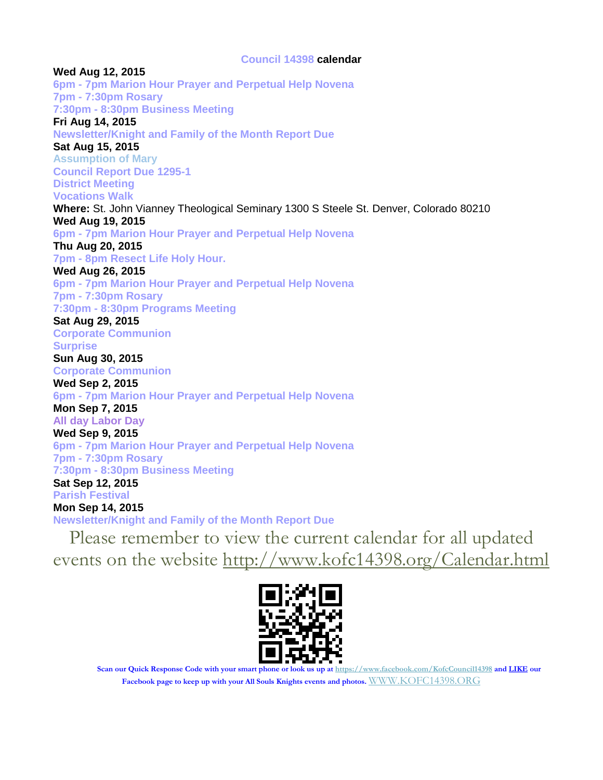### **Council 14398 calendar**

**Wed Aug 12, 2015 6pm - 7pm Marion Hour Prayer and Perpetual Help Novena 7pm - 7:30pm Rosary 7:30pm - 8:30pm Business Meeting Fri Aug 14, 2015 Newsletter/Knight and Family of the Month Report Due Sat Aug 15, 2015 Assumption of Mary Council Report Due 1295-1 District Meeting Vocations Walk Where:** St. John Vianney Theological Seminary 1300 S Steele St. Denver, Colorado 80210 **Wed Aug 19, 2015 6pm - 7pm Marion Hour Prayer and Perpetual Help Novena Thu Aug 20, 2015 7pm - 8pm Resect Life Holy Hour. Wed Aug 26, 2015 6pm - 7pm Marion Hour Prayer and Perpetual Help Novena 7pm - 7:30pm Rosary 7:30pm - 8:30pm Programs Meeting Sat Aug 29, 2015 Corporate Communion Surprise Sun Aug 30, 2015 Corporate Communion Wed Sep 2, 2015 6pm - 7pm Marion Hour Prayer and Perpetual Help Novena Mon Sep 7, 2015 All day Labor Day Wed Sep 9, 2015 6pm - 7pm Marion Hour Prayer and Perpetual Help Novena 7pm - 7:30pm Rosary 7:30pm - 8:30pm Business Meeting Sat Sep 12, 2015 Parish Festival Mon Sep 14, 2015 Newsletter/Knight and Family of the Month Report Due** Please remember to view the current calendar for all updated

events on the website<http://www.kofc14398.org/Calendar.html>



**Scan our Quick Response Code with your smart phone or look us up at <https://www.facebook.com/KofcCouncil14398> and LIKE our Facebook page to keep up with your All Souls Knights events and photos.** [WWW.KOFC14398.ORG](http://www.kofc14398.org/)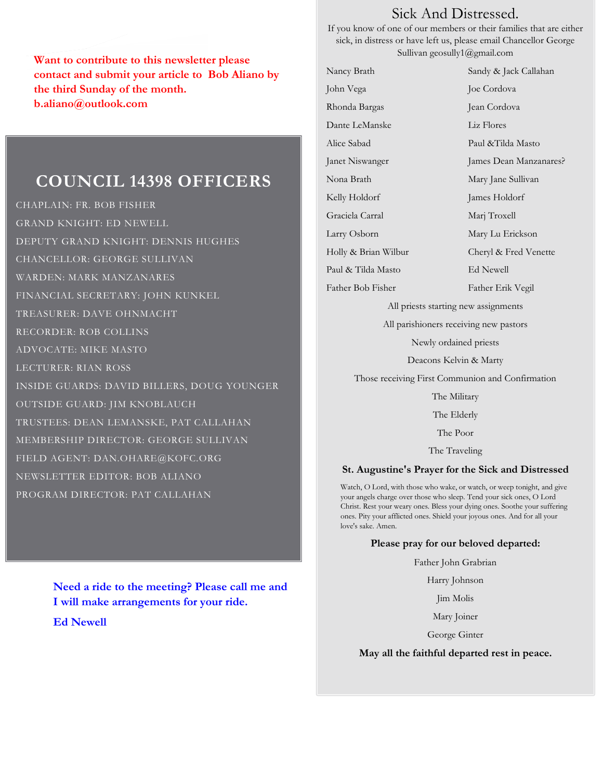**Want to contribute to this newsletter please contact and submit your article to Bob Aliano by the third Sunday of the month. b.aliano@outlook.com**

### **COUNCIL 14398 OFFICERS**

CHAPLAIN: FR. BOB FISHER GRAND KNIGHT: ED NEWELL DEPUTY GRAND KNIGHT: DENNIS HUGHES CHANCELLOR: GEORGE SULLIVAN WARDEN: MARK MANZANARES FINANCIAL SECRETARY: JOHN KUNKEL TREASURER: DAVE OHNMACHT RECORDER: ROB COLLINS ADVOCATE: MIKE MASTO LECTURER: RIAN ROSS INSIDE GUARDS: DAVID BILLERS, DOUG YOUNGER OUTSIDE GUARD: JIM KNOBLAUCH TRUSTEES: DEAN LEMANSKE, PAT CALLAHAN MEMBERSHIP DIRECTOR: GEORGE SULLIVAN FIELD AGENT: DAN.OHARE@KOFC.ORG NEWSLETTER EDITOR: BOB ALIANO PROGRAM DIRECTOR: PAT CALLAHAN

> **Need a ride to the meeting? Please call me and I will make arrangements for your ride.**

**Ed Newell**

### Sick And Distressed.

If you know of one of our members or their families that are either sick, in distress or have left us, please email Chancellor George Sullivan geosully1@gmail.com

Nancy Brath Sandy & Jack Callahan John Vega Joe Cordova Rhonda Bargas Jean Cordova Dante LeManske Liz Flores Alice Sabad Paul &Tilda Masto Janet Niswanger James Dean Manzanares? Nona Brath Mary Jane Sullivan Kelly Holdorf James Holdorf Graciela Carral Marj Troxell Larry Osborn Mary Lu Erickson Holly & Brian Wilbur Cheryl & Fred Venette Paul & Tilda Masto Ed Newell Father Bob Fisher Father Erik Vegil All priests starting new assignments

All parishioners receiving new pastors

Newly ordained priests

Deacons Kelvin & Marty

Those receiving First Communion and Confirmation

The Military

The Elderly

The Poor

The Traveling

#### **St. Augustine's Prayer for the Sick and Distressed**

Watch, O Lord, with those who wake, or watch, or weep tonight, and give your angels charge over those who sleep. Tend your sick ones, O Lord Christ. Rest your weary ones. Bless your dying ones. Soothe your suffering ones. Pity your afflicted ones. Shield your joyous ones. And for all your love's sake. Amen.

#### **Please pray for our beloved departed:**

Father John Grabrian

Harry Johnson

Jim Molis

Mary Joiner

George Ginter

#### **May all the faithful departed rest in peace.**